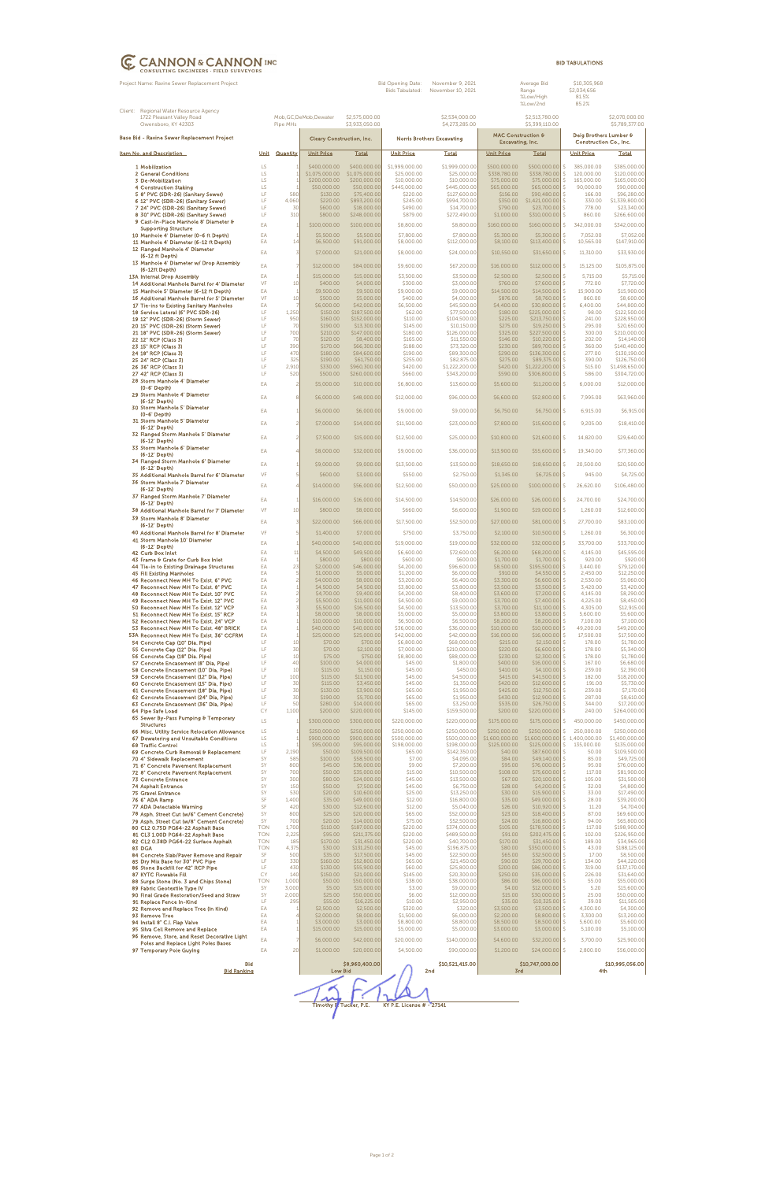|                                             | Project Name: Ravine Sewer Replacement Project                                             |                 |                           |                                |                                  | Bid Opening Date:<br><b>Bids Tabulated:</b> | November 9, 2021<br>November 10, 2021 |                                                   | Average Bid<br>Range<br>%Low/High<br>%Low/2nd |                                                  | \$10,305,968<br>\$2,034,656<br>81.5%<br>85.2% |                                  |
|---------------------------------------------|--------------------------------------------------------------------------------------------|-----------------|---------------------------|--------------------------------|----------------------------------|---------------------------------------------|---------------------------------------|---------------------------------------------------|-----------------------------------------------|--------------------------------------------------|-----------------------------------------------|----------------------------------|
|                                             | Client: Regional Water Resource Agency<br>1722 Pleasant Valley Road<br>Owensboro, KY 42303 |                 | Pipe MHs                  | Mob, GC, DeMob, Dewater        | \$2,575,000.00<br>\$3,933,050.00 |                                             | \$2,534,000.00<br>\$4,273,285.00      |                                                   | \$2,513,780.00<br>\$5,399,110.00              |                                                  |                                               | \$2,070,000.00<br>\$5,789,377.00 |
| Base Bid - Ravine Sewer Replacement Project |                                                                                            |                 | Cleary Construction, Inc. |                                |                                  | <b>Norris Brothers Excavating</b>           |                                       | <b>MAC Construction &amp;</b><br>Excavating, Inc. |                                               | Deig Brothers Lumber &<br>Construction Co., Inc. |                                               |                                  |
|                                             | Item No. and Description                                                                   | Unit            | Quantity                  | <b>Unit Price</b>              | <b>Total</b>                     | <b>Unit Price</b>                           | Total                                 | <b>Unit Price</b>                                 | Total                                         |                                                  | <b>Unit Price</b>                             | <b>Total</b>                     |
|                                             | 1 Mobilization                                                                             | LS              |                           | \$400,000.00                   | \$400,000.00                     | \$1,999,000.00                              | \$1,999,000.00                        | \$500,000.00                                      | \$500,000.00                                  | S.                                               | 385,000.00                                    | \$385,000.00                     |
|                                             | 2 General Conditions<br>3 De-Mobilization                                                  | LS<br>LS        |                           | \$1,075,000.00<br>\$200,000.00 | \$1,075,000.00<br>\$200,000.00   | \$25,000.00<br>\$10,000.00                  | \$25,000.00<br>\$10,000.00            | \$338,780.00<br>\$75,000.00                       | \$338,780.00 \$<br>\$75,000.00                | $\mathsf{S}$                                     | 120,000.00<br>165,000.00                      | \$120,000.00<br>\$165,000.00     |
|                                             | 4 Construction Staking                                                                     | LS              |                           | \$50,000.00                    | \$50,000.00                      | \$445,000.00                                | \$445,000.00                          | \$65,000.00                                       | \$65,000.00 \$                                |                                                  | 90,000.00                                     | \$90,000.00                      |
|                                             | 5 8" PVC (SDR-26) (Sanitary Sewer)                                                         | LF<br>LF        | 580                       | \$130.00<br>\$220.00           | \$75,400.00                      | \$220.00                                    | \$127,600.00                          | \$156.00                                          | \$90,480.00                                   | -S                                               | 166.00                                        | \$96,280.00                      |
|                                             | 6 12" PVC (SDR-26) (Sanitary Sewer)<br>7 24" PVC (SDR-26) (Sanitary Sewer)                 | LF              | 4,060<br>30               | \$600.00                       | \$893,200.00<br>\$18,000.00      | \$245.00<br>\$490.00                        | \$994,700.00<br>\$14,700.00           | \$350.00<br>\$790.00                              | $$1,421,000.00$ \$<br>$$23,700.00$ \$         |                                                  | 330.00<br>778.00                              | \$1,339,800.00<br>\$23,340.00    |
|                                             | 8 30" PVC (SDR-26) (Sanitary Sewer)                                                        | LF              | 310                       | \$800.00                       | \$248,000.00                     | \$879.00                                    | \$272,490.00                          | \$1,000.00                                        | \$310,000.00                                  | -S                                               | 860.00                                        | \$266,600.00                     |
|                                             | 9 Cast-In-Place Manhole 8' Diameter &<br><b>Supporting Structure</b>                       | EA              | $\overline{1}$            | \$100,000.00                   | \$100,000.00                     | \$8,800.00                                  | \$8,800.00                            | \$160,000.00                                      | $$160,000.00$ \$                              |                                                  | 342,000.00                                    | \$342,000.00                     |
|                                             | 10 Manhole 4' Diameter (0-6 ft Depth)                                                      | EA              | $\overline{1}$            | \$5,500.00                     | \$5,500.00                       | \$7,800.00                                  | \$7,800.00                            | \$5,300.00                                        | \$5,300.00                                    | S.                                               | 7,052.00                                      | \$7,052.00                       |
|                                             | 11 Manhole 4' Diameter (6-12 ft Depth)                                                     | EA              | 14                        | \$6,500.00                     | \$91,000.00                      | \$8,000.00                                  | \$112,000.00                          | \$8,100.00                                        | $$113,400.00$ \$                              |                                                  | 10,565.00                                     | \$147,910.00                     |
|                                             | 12 Flanged Manhole 4' Diameter<br>(6-12 ft Depth)                                          | EA              | $\overline{3}$            | \$7,000.00                     | \$21,000.00                      | \$8,000.00                                  | \$24,000.00                           | \$10,550.00                                       | $$31,650.00$ \$                               |                                                  | 11,310.00                                     | \$33,930.00                      |
|                                             | 13 Manhole 4' Diameter w/ Drop Assembly                                                    | EA              | $\overline{7}$            | \$12,000.00                    | \$84,000.00                      | \$9,600.00                                  | \$67,200.00                           | \$16,000.00                                       | \$112,000.00 \$                               |                                                  | 15,125.00                                     | \$105,875.00                     |
|                                             | (6-12ft Depth)<br>13A Internal Drop Assembly                                               | EA              | $\overline{1}$            | \$15,000.00                    | \$15,000.00                      | \$3,500.00                                  | \$3,500.00                            | \$2,500.00                                        | $$2,500.00$ \$                                |                                                  | 5,715.00                                      | \$5,715.00                       |
|                                             | 14 Additional Manhole Barrel for 4' Diameter                                               | VF              | 10                        | \$400.00                       | \$4,000.00                       | \$300.00                                    | \$3,000.00                            | \$760.00                                          | $$7,600.00$ \$                                |                                                  | 772.00                                        | \$7,720.00                       |
|                                             | 15 Manhole 5' Diameter (6-12 ft Depth)                                                     | EA              | $\overline{1}$            | \$9,500.00                     | \$9,500.00                       | \$9,000.00                                  | \$9,000.00                            | \$14,500.00                                       | $$14,500.00$ \$                               |                                                  | 15,900.00                                     | \$15,900.00                      |
|                                             | 16 Additional Manhole Barrel for 5' Diameter<br>17 Tie-ins to Existing Sanitary Manholes   | VF<br>EA        | 10<br>7                   | \$500.00<br>\$6,000.00         | \$5,000.00<br>\$42,000.00        | \$400.00<br>\$6,500.00                      | \$4,000.00<br>\$45,500.00             | \$876.00<br>\$4,400.00                            | $$8,760.00$ \$<br>\$30,800.00 \$              |                                                  | 860.00<br>6,400.00                            | \$8,600.00<br>\$44,800.00        |
|                                             | 18 Service Lateral (6" PVC SDR-26)                                                         | LF              | 1,250                     | \$150.00                       | \$187,500.00                     | \$62.00                                     | \$77,500.00                           | \$180.00                                          | \$225,000.00 \$                               |                                                  | 98.00                                         | \$122,500.00                     |
|                                             | 19 12" PVC (SDR-26) (Storm Sewer)<br>20 15" PVC (SDR-26) (Storm Sewer)                     | LF<br>LF        | 950<br>70                 | \$160.00<br>\$190.00           | \$152,000.00<br>\$13,300.00      | \$110.00<br>\$145.00                        | \$104,500.00<br>\$10,150.00           | \$225.00<br>\$275.00                              | \$213,750.00<br>$$19,250.00$ \$               | S.                                               | 241.00<br>295.00                              | \$228,950.00<br>\$20,650.00      |
|                                             | 21 18" PVC (SDR-26) (Storm Sewer)                                                          | LF              | 700                       | \$210.00                       | \$147,000.00                     | \$180.00                                    | \$126,000.00                          | \$325.00                                          | \$227,500.00 \$                               |                                                  | 300.00                                        | \$210,000.00                     |
|                                             | 22 12" RCP (Class 3)                                                                       | LF              | 70                        | \$120.00                       | \$8,400.00                       | \$165.00                                    | \$11,550.00                           | \$146.00                                          | \$10,220.00                                   | -S                                               | 202.00                                        | \$14,140.00                      |
|                                             | 23 15" RCP (Class 3)<br>24 18" RCP (Class 3)                                               | LF<br>LF        | 390<br>470                | \$170.00<br>\$180.00           | \$66,300.00<br>\$84,600.00       | \$188.00<br>\$190.00                        | \$73,320.00<br>\$89,300.00            | \$230.00<br>\$290.00                              | \$89,700.00 \$<br>$$136,300.00$ \$            |                                                  | 360.00<br>277.00                              | \$140,400.00<br>\$130,190.00     |
|                                             | 25 24" RCP (Class 3)                                                                       | LF              | 325                       | \$190.00                       | \$61,750.00                      | \$255.00                                    | \$82,875.00                           | \$275.00                                          | $$89,375.00$ \$                               |                                                  | 390.00                                        | \$126,750.00                     |
|                                             | 26 36" RCP (Class 3)<br>27 42" RCP (Class 3)                                               | LF<br>LF        | 2,910<br>520              | \$330.00<br>\$500.00           | \$960,300.00<br>\$260,000.00     | \$420.00<br>\$660.00                        | \$1,222,200.00<br>\$343,200.00        | \$420.00<br>\$590.00                              | $$1,222,200.00$ \$<br>\$306,800.00 \$         |                                                  | 515.00<br>586.00                              | \$1,498,650.00<br>\$304,720.00   |
|                                             | 28 Storm Manhole 4' Diameter<br>(0-6' Depth)                                               | EA              | $\overline{2}$            | \$5,000.00                     | \$10,000.00                      | \$6,800.00                                  | \$13,600.00                           | \$5,600.00                                        | $$11,200.00$ \$                               |                                                  | 6,000.00                                      | \$12,000.00                      |
|                                             | 29 Storm Manhole 4' Diameter<br>(6-12' Depth)                                              | EA              | 8                         | \$6,000.00                     | \$48,000.00                      | \$12,000.00                                 | \$96,000.00                           | \$6,600.00                                        | \$52,800.00 \$                                |                                                  | 7,995.00                                      | \$63,960.00                      |
|                                             | 30 Storm Manhole 5' Diameter<br>$(0-6'$ Depth)                                             | EA              | $\overline{1}$            | \$6,000.00                     | \$6,000.00                       | \$9,000.00                                  | \$9,000.00                            | \$6,750.00                                        | $$6,750.00$ \$                                |                                                  | 6,915.00                                      | \$6,915.00                       |
|                                             | 31 Storm Manhole 5' Diameter<br>(6-12' Depth)                                              | EA              | $\overline{c}$            | \$7,000.00                     | \$14,000.00                      | \$11,500.00                                 | \$23,000.00                           | \$7,800.00                                        | $$15,600.00$ \$                               |                                                  | 9,205.00                                      | \$18,410.00                      |
|                                             | 32 Flanged Storm Manhole 5' Diameter<br>(6-12' Depth)                                      | EA              | $\overline{c}$            | \$7,500.00                     | \$15,000.00                      | \$12,500.00                                 | \$25,000.00                           | \$10,800.00                                       | $$21,600.00$ \$                               |                                                  | 14,820.00                                     | \$29,640.00                      |
|                                             | 33 Storm Manhole 6' Diameter<br>(6-12' Depth)                                              | EA              | $\overline{4}$            | \$8,000.00                     | \$32,000.00                      | \$9,000.00                                  | \$36,000.00                           | \$13,900.00                                       | $$55,600.00$ \$                               |                                                  | 19,340.00                                     | \$77,360.00                      |
|                                             | 34 Flanged Storm Manhole 6' Diameter<br>(6-12' Depth)                                      | EA              | 1                         | \$9,000.00                     | \$9,000.00                       | \$13,500.00                                 | \$13,500.00                           | \$18,650.00                                       | $$18,650.00$ \$                               |                                                  | 20,500.00                                     | \$20,500.00                      |
|                                             | 35 Additional Manhole Barrel for 6' Diameter                                               | VF              | 5                         | \$600.00                       | \$3,000.00                       | \$550.00                                    | \$2,750.00                            | \$1,345.00                                        | \$6,725.00                                    | <sub>S</sub>                                     | 945.00                                        | \$4,725.00                       |
|                                             | 36 Storm Manhole 7' Diameter<br>(6-12' Depth)<br>37 Flanged Storm Manhole 7' Diameter      | EA              | $\overline{4}$            | \$14,000.00                    | \$56,000.00                      | \$12,500.00                                 | \$50,000.00                           | \$25,000.00                                       | $$100,000.00$ \$                              |                                                  | 26,620.00                                     | \$106,480.00                     |
|                                             | (6-12' Depth)                                                                              | EA              | 1                         | \$16,000.00                    | \$16,000.00                      | \$14,500.00                                 | \$14,500.00                           | \$26,000.00                                       | $$26,000.00$ \$                               |                                                  | 24,700.00                                     | \$24,700.00                      |
|                                             | 38 Additional Manhole Barrel for 7' Diameter<br>39 Storm Manhole 8' Diameter               | <b>VF</b><br>EA | 10<br>3                   | \$800.00<br>\$22,000.00        | \$8,000.00<br>\$66,000.00        | \$660.00<br>\$17,500.00                     | \$6,600.00<br>\$52,500.00             | \$1,900.00<br>\$27,000.00                         | \$19,000.00<br>\$81,000.00 \$                 | \$                                               | 1,260.00<br>27,700.00                         | \$12,600.00<br>\$83,100.00       |
|                                             | (6-12' Depth)<br>40 Additional Manhole Barrel for 8' Diameter                              | <b>VF</b>       | 5                         | \$1,400.00                     | \$7,000.00                       | \$750.00                                    | \$3,750.00                            | \$2,100.00                                        | $$10,500.00$ \$                               |                                                  | 1,260.00                                      | \$6,300.00                       |
|                                             | 41 Storm Manhole 10' Diameter                                                              | EA              | $\mathbf{1}$              | \$40,000.00                    | \$40,000.00                      | \$19,000.00                                 | \$19,000.00                           | \$32,000.00                                       | \$32,000.00 \$                                |                                                  | 33,700.00                                     | \$33,700.00                      |
|                                             | (6-12' Depth)<br>42 Curb Box Inlet                                                         | EA              | 11                        | \$4,500.00                     | \$49,500.00                      | \$6,600.00                                  | \$72,600.00                           | \$6,200.00                                        | \$68,200.00 \$                                |                                                  | 4,145.00                                      | \$45,595.00                      |
|                                             | 43 Frame & Grate for Curb Box Inlet                                                        | EA              | $\overline{1}$            | \$800.00                       | \$800.00                         | \$600.00                                    | \$600.00                              | \$1,700.00                                        | $$1,700.00$ \$                                |                                                  | 920.00                                        | \$920.00                         |
|                                             | 44 Tie-in to Existing Drainage Structures<br><b>45 Fill Existing Manholes</b>              | EA<br>EA        | 23<br>5                   | \$2,000.00<br>\$1,000.00       | \$46,000.00<br>\$5,000.00        | \$4,200.00<br>\$1,200.00                    | \$96,600.00<br>\$6,000.00             | \$8,500.00<br>\$910.00                            | \$195,500.00 \$<br>$$4,550.00$ \$             |                                                  | 3.440.00<br>2,450.00                          | \$79,120.00<br>\$12,250.00       |
|                                             | 46 Reconnect New MH To Exist. 6" PVC                                                       | EA              | $\overline{c}$            | \$4,000.00                     | \$8,000.00                       | \$3,200.00                                  | \$6,400.00                            | \$3,300.00                                        | $$6,600.00$ \$                                |                                                  | 2,530.00                                      | \$5,060.00                       |
|                                             | 47 Reconnect New MH To Exist. 8" PVC<br>48 Reconnect New MH To Exist. 10" PVC              | EA<br>EA        | 2                         | \$4,500.00<br>\$4,700.00       | \$4,500.00<br>\$9,400.00         | \$3,800.00<br>\$4,200.00                    | \$3,800.00<br>\$8,400.00              | \$3,500.00<br>\$3,600.00                          | $$3,500.00$ \$<br>\$7,200.00                  | S.                                               | 3,420.00<br>4,145.00                          | \$3,420.00<br>\$8,290.00         |
|                                             | 49 Reconnect New MH To Exist. 12" PVC                                                      | EA              | $\overline{c}$            | \$5,500.00                     | \$11,000.00                      | \$4,500.00                                  | \$9,000.00                            | \$3,700.00                                        | $$7,400.00$ \$                                |                                                  | 4,225.00                                      | \$8,450.00                       |
|                                             | 50 Reconnect New MH To Exist. 12" VCP<br>51 Reconnect New MH To Exist. 15" RCP             | EA<br>EA        | 3                         | \$5,500.00<br>\$8,000.00       | \$16,500.00<br>\$8,000.00        | \$4,500.00<br>\$5,000.00                    | \$13,500.00<br>\$5,000.00             | \$3,700.00<br>\$3,800.00                          | $$11,100.00$ \$<br>$$3,800.00$ \$             |                                                  | 4,305.00<br>5,600.00                          | \$12,915.00<br>\$5,600.00        |
|                                             | 52 Reconnect New MH To Exist. 24" VCP                                                      | EA              |                           | \$10,000.00                    | \$10,000.00                      | \$6,500.00                                  | \$6,500.00                            | \$8,200.00                                        | $$8,200.00$ \$                                |                                                  | 7,100.00                                      | \$7,100.00                       |
|                                             | 53 Reconnect New MH To Exist, 48" BRICK                                                    | EA              |                           | \$40,000.00                    | \$40,000.00                      | \$36,000.00                                 | \$36,000.00                           | \$10,000.00                                       | $$10,000.00$ \$                               |                                                  | 49,200.00                                     | \$49,200.00                      |
|                                             | 53A Reconnect New MH To Exist. 36" CCFRM<br>54 Concrete Cap (10" Dia. Pipe)                | EA<br>LF        | 10                        | \$25,000.00<br>\$70.00         | \$25,000.00<br>\$700.00          | \$42,000.00<br>\$6,800.00                   | \$42,000.00<br>\$68,000.00            | \$16,000.00<br>\$215.00                           | $$16,000.00$ \$<br>$$2,150.00$ \$             |                                                  | 17,500.00<br>178.00                           | \$17,500.00<br>\$1,780.00        |
|                                             | 55 Concrete Cap (12" Dia. Pipe)                                                            | LF.             | 30                        | \$70.00                        | \$2,100.00                       | \$7,000.00                                  | \$210,000.00                          | \$220.00                                          | $$6,600.00$ \$                                |                                                  | 178.00                                        | \$5,340.00                       |
|                                             | 56 Concrete Cap (18" Dia. Pipe)<br>57 Concrete Encasement (8" Dia, Pipe)                   | LF<br>LF        | 10<br>40                  | \$75.00<br>\$100.00            | \$750.00<br>\$4,000.00           | \$8,800.00<br>\$45.00                       | \$88,000.00<br>\$1,800.00             | \$230.00<br>\$400.00                              | $$2,300.00$ \$<br>$$16,000.00$ \$             |                                                  | 178.00<br>167.00                              | \$1,780.00<br>\$6,680.00         |
|                                             | 58 Concrete Encasement (10" Dia, Pipe)                                                     | LF              | 10                        | \$115.00                       | \$1,150.00                       | \$45.00                                     | \$450.00                              | \$410.00                                          | $$4,100.00$ \$                                |                                                  | 239.00                                        | \$2,390.00                       |
|                                             | 59 Concrete Encasement (12" Dia, Pipe)<br>60 Concrete Encasement (15" Dia, Pipe)           | LF<br>LF        | 100<br>30                 | \$115.00<br>\$115.00           | \$11,500.00<br>\$3,450.00        | \$45.00<br>\$45.00                          | \$4,500.00<br>\$1,350.00              | \$415.00<br>\$420.00                              | $$41,500.00$ \$<br>$$12,600.00$ \$            |                                                  | 182.00<br>191.00                              | \$18,200.00<br>\$5,730.00        |
|                                             | 61 Concrete Encasement (18" Dia, Pipe)                                                     | LF              | 30                        | \$130.00                       | \$3,900.00                       | \$65.00                                     | \$1,950.00                            | \$425.00                                          | $$12,750.00$ \$                               |                                                  | 239.00                                        | \$7,170.00                       |
|                                             | 62 Concrete Encasement (24" Dia, Pipe)<br>63 Concrete Encasement (36" Dia, Pipe)           | LF<br>LF        | 30<br>50                  | \$190.00<br>\$280.00           | \$5,700.00<br>\$14,000.00        | \$65.00<br>\$65.00                          | \$1,950.00<br>\$3,250.00              | \$430.00<br>\$535.00                              | $$12,900.00$ \$<br>\$26,750.00                | -S                                               | 287.00<br>344.00                              | \$8,610.00<br>\$17,200.00        |
|                                             | 64 Pipe Safe Load                                                                          | <b>CY</b>       | 1,100                     | \$200.00                       | \$220,000.00                     | \$145.00                                    | \$159,500.00                          | \$200.00                                          | $$220,000.00$ \$                              |                                                  | 240.00                                        | \$264,000.00                     |
|                                             | 65 Sewer By-Pass Pumping & Temporary<br><b>Structures</b>                                  | LS              |                           | \$300,000.00                   | \$300,000.00                     | \$220,000.00                                | \$220,000.00                          | \$175,000.00                                      | \$175,000.00                                  | -S                                               | 450,000.00                                    | \$450,000.00                     |
|                                             | 66 Misc. Utility Service Relocation Allowance                                              | LS              |                           | \$250,000.00                   | \$250,000.00                     | \$250,000.00                                | \$250,000.00                          | \$250,000.00                                      | \$250,000.00                                  | S.                                               | 250,000.00                                    | \$250,000.00                     |
|                                             | 67 Dewatering and Unsuitable Conditions                                                    | LS              |                           | \$900,000.00                   | \$900,000.00                     | \$500,000.00                                | \$500,000.00                          | \$1,600,000.00                                    | $$1,600,000.00$ \$ 1,400,000.00               |                                                  |                                               | \$1,400,000.00                   |
|                                             | 68 Traffic Control<br>69 Concrete Curb Removal & Replacement                               | LS<br>LF        | 2,190                     | \$95,000.00<br>\$50.00         | \$95,000.00<br>\$109,500.00      | \$198,000.00<br>\$65.00                     | \$198,000.00<br>\$142,350.00          | \$125,000.00<br>\$40.00                           | $$125,000.00$ \$<br>\$87,600.00 \$            |                                                  | 135,000.00<br>50.00                           | \$135,000.00<br>\$109,500.00     |
|                                             | 70 4" Sidewalk Replacement                                                                 | SY              | 585                       | \$100.00                       | \$58,500.00                      | \$7.00                                      | \$4,095.00                            | \$84.00                                           | $$49,140.00$ \$                               |                                                  | 85.00                                         | \$49,725.00                      |
|                                             | 71 6" Concrete Pavement Replacement<br>72 8" Concrete Pavement Replacement                 | SY<br>SY        | 800<br>700                | \$45.00<br>\$50.00             | \$36,000.00<br>\$35,000.00       | \$9.00<br>\$15.00                           | \$7,200.00<br>\$10,500.00             | \$95.00<br>\$108.00                               | $$76,000.00$ \$<br>$$75,600.00$ \$            |                                                  | 95.00<br>117.00                               | \$76,000.00<br>\$81,900.00       |
|                                             | 73 Concrete Entrance                                                                       | SY              | 300                       | \$80.00                        | \$24,000.00                      | \$45.00                                     | \$13,500.00                           | \$67.00                                           | \$20,100.00                                   | S.                                               | 105.00                                        | \$31,500.00                      |
|                                             | <b>74 Asphalt Entrance</b>                                                                 | SY              | 150                       | \$50.00                        | \$7,500.00                       | \$45.00                                     | \$6,750.00                            | \$28.00                                           | $$4,200.00$ \$                                |                                                  | 32.00                                         | \$4,800.00                       |

| \$15,900.00 \$<br><b>SY</b><br>530<br>\$20.00<br>\$10,600.00<br>\$25.00<br>\$13,250.00<br>75 Gravel Entrance<br>\$30.00<br>33.00<br><b>SF</b><br>\$12.00<br>\$49,000.00 \$<br>76 6" ADA Ramp<br>\$35.00<br>\$49,000.00<br>\$16,800.00<br>1,400<br>\$35.00<br>28.00<br><b>SF</b><br>\$12.00<br>\$5,040.00<br>$$10,920.00$ \$<br>77 ADA Detectable Warning<br>420<br>\$30.00<br>\$12,600.00<br>11.20<br>\$26.00<br>\$18,400.00 \$<br>78 Asph. Street Cut (w/6" Cement Concrete)<br><b>SY</b><br>\$25.00<br>\$65.00<br>\$52,000.00<br>800<br>\$20,000.00<br>\$23.00<br>87.00<br>SY<br>$$16.800.00$ \$<br>\$20.00<br>\$14,000.00<br>\$75.00<br>\$52,500.00<br>\$24.00<br>94.00<br>79 Asph. Street Cut (w/8" Cement Concrete)<br>700<br><b>TON</b><br>\$110.00<br>\$187,000.00<br>\$220.00<br>\$374,000.00<br>\$178,500.00 \$<br>80 CL2 0.75D PG64-22 Asphalt Base<br>1.700<br>\$105.00<br>117.00<br>\$202,475.00 \$<br>\$95.00<br>\$211,375.00<br>\$220.00<br>\$489,500.00<br>\$91.00<br>\$226,950.00<br>81 CL3 1.00D PG64-22 Asphalt Base<br><b>TON</b><br>2,225<br>102.00<br>185<br>\$40,700.00<br>$$31,450.00$ \$<br>82 CL2 0.38D PG64-22 Surface Asphalt<br><b>TON</b><br>\$170.00<br>\$31,450.00<br>\$220.00<br>\$170.00<br>189.00<br>\$350,000.00 \$<br>83 DGA<br>4.375<br>\$30.00<br>\$131,250.00<br>\$45.00<br>\$196,875.00<br><b>TON</b><br>\$80.00<br>43.00<br>84 Concrete Slab/Paver Remove and Repair<br><b>SF</b><br>\$35.00<br>\$17,500.00<br>\$45.00<br>\$22,500.00<br>\$32,500.00 \$<br>500<br>\$65.00<br>17.00<br>TF.<br>\$52,800.00<br>\$65.00<br>\$29,700.00 \$<br>85 Dry Mix Base for 30" PVC Pipe<br>330<br>\$160.00<br>\$21,450.00<br>\$90.00<br>134.00<br>LF.<br>430<br>\$55,900.00<br>\$60.00<br>\$86,000.00 \$<br>\$130.00<br>\$25,800.00<br>\$200.00<br>319.00<br>86 Stone Backfill for 42" RCP Pipe<br>\$35,000.00 \$<br><b>CY</b><br>\$150.00<br>\$21,000.00<br>\$145.00<br>\$20,300.00<br>\$250.00<br>140<br>226.00<br>87 KYTC Flowable Fill<br>\$50,000.00<br>\$38.00<br>\$86,000.00 \$<br>88 Surge Stone (No. 3 and Chips Stone)<br><b>TON</b><br>1.000<br>\$50.00<br>\$38,000.00<br>\$86.00<br>55.00<br>\$12,000.00 \$<br><b>SY</b><br>\$5.00<br>\$15,000.00<br>\$3.00<br>\$9,000.00<br>\$4.00<br>5.20<br>89 Fabric Geotextile Type IV<br>3.000<br><b>SY</b><br>\$6.00<br>\$30,000.00 \$<br>90 Final Grade Restoration/Seed and Straw<br>\$25.00<br>\$50,000.00<br>\$12,000.00<br>\$15.00<br>2,000<br>25.00<br>LF.<br>\$16,225.00<br>\$10.00<br>\$2,950.00<br>$$10,325.00$ \$<br>91 Replace Fence In-Kind<br>295<br>\$55.00<br>\$35.00<br>39.00<br>\$320.00<br>\$3,500,00 \$<br>\$2,500.00<br>\$2,500.00<br>\$320.00<br>\$3,500.00<br>92 Remove and Replace Tree (In Kind)<br>EA<br>4,300.00<br>\$8,000.00<br>\$8,800.00 \$<br>93 Remove Tree<br>EA<br>\$2,000.00<br>\$1,500.00<br>\$6,000.00<br>\$2,200.00<br>3,300.00<br>94 Install 8" C.I. Flap Valve<br>FA<br>\$3,000.00<br>\$8,800.00<br>\$8,800.00<br>\$8,500.00<br>\$8,500,00 \$<br>\$3,000.00<br>5.600.00<br>FA<br>\$15,000.00<br>\$5,000.00<br>\$5,000.00<br>\$3,000.00<br>$$3,000.00$ \$<br>5,100.00<br>\$15,000.00<br>95 Silva Cell Remove and Replace<br>96 Remove, Store, and Reset Decorative Light<br>EA<br>\$6,000.00<br>\$42,000.00<br>\$20,000.00<br>\$140,000.00<br>\$4,600.00<br>\$32,200.00 \$<br>3,700.00<br>Poles and Replace Light Poles Bases<br>97 Temporary Pole Guying<br>EA<br>20<br>\$1,000.00<br>\$20,000.00<br>\$4,500.00<br>\$90,000.00<br>\$1,200.00<br>$$24,000.00$ \$<br>2,800.00<br>\$8,960,400.00<br>\$10,521,415.00<br>\$10,747,000.00<br>\$10,995,056.00<br><b>Bid</b><br><b>Low Bid</b><br>2nd<br>3rd<br>4th<br><b>Bid Ranking</b> | <b>74 Asphalt Entrance</b><br>SY<br>150<br>\$50.00<br>\$7,500.00<br>\$45.00<br>\$6,750.00<br>\$28.00<br>\$4,200.00 \$<br>32.00<br>\$4,800.00 |  |  |         |              |                           |  |  |  |  |             |              |  |  |
|---------------------------------------------------------------------------------------------------------------------------------------------------------------------------------------------------------------------------------------------------------------------------------------------------------------------------------------------------------------------------------------------------------------------------------------------------------------------------------------------------------------------------------------------------------------------------------------------------------------------------------------------------------------------------------------------------------------------------------------------------------------------------------------------------------------------------------------------------------------------------------------------------------------------------------------------------------------------------------------------------------------------------------------------------------------------------------------------------------------------------------------------------------------------------------------------------------------------------------------------------------------------------------------------------------------------------------------------------------------------------------------------------------------------------------------------------------------------------------------------------------------------------------------------------------------------------------------------------------------------------------------------------------------------------------------------------------------------------------------------------------------------------------------------------------------------------------------------------------------------------------------------------------------------------------------------------------------------------------------------------------------------------------------------------------------------------------------------------------------------------------------------------------------------------------------------------------------------------------------------------------------------------------------------------------------------------------------------------------------------------------------------------------------------------------------------------------------------------------------------------------------------------------------------------------------------------------------------------------------------------------------------------------------------------------------------------------------------------------------------------------------------------------------------------------------------------------------------------------------------------------------------------------------------------------------------------------------------------------------------------------------------------------------------------------------------------------------------------------------------------------------------------------------------------------------------------------------------------------------------------------------------------------------------------------------------------------------------------------------------------------------------------------------------------------------------------------------------------------------------------------------------------------------------------------------------------------------------------------------------------------------------------------|----------------------------------------------------------------------------------------------------------------------------------------------|--|--|---------|--------------|---------------------------|--|--|--|--|-------------|--------------|--|--|
|                                                                                                                                                                                                                                                                                                                                                                                                                                                                                                                                                                                                                                                                                                                                                                                                                                                                                                                                                                                                                                                                                                                                                                                                                                                                                                                                                                                                                                                                                                                                                                                                                                                                                                                                                                                                                                                                                                                                                                                                                                                                                                                                                                                                                                                                                                                                                                                                                                                                                                                                                                                                                                                                                                                                                                                                                                                                                                                                                                                                                                                                                                                                                                                                                                                                                                                                                                                                                                                                                                                                                                                                                                                         |                                                                                                                                              |  |  |         |              |                           |  |  |  |  |             | \$17,490.00  |  |  |
|                                                                                                                                                                                                                                                                                                                                                                                                                                                                                                                                                                                                                                                                                                                                                                                                                                                                                                                                                                                                                                                                                                                                                                                                                                                                                                                                                                                                                                                                                                                                                                                                                                                                                                                                                                                                                                                                                                                                                                                                                                                                                                                                                                                                                                                                                                                                                                                                                                                                                                                                                                                                                                                                                                                                                                                                                                                                                                                                                                                                                                                                                                                                                                                                                                                                                                                                                                                                                                                                                                                                                                                                                                                         |                                                                                                                                              |  |  |         |              |                           |  |  |  |  |             | \$39,200.00  |  |  |
|                                                                                                                                                                                                                                                                                                                                                                                                                                                                                                                                                                                                                                                                                                                                                                                                                                                                                                                                                                                                                                                                                                                                                                                                                                                                                                                                                                                                                                                                                                                                                                                                                                                                                                                                                                                                                                                                                                                                                                                                                                                                                                                                                                                                                                                                                                                                                                                                                                                                                                                                                                                                                                                                                                                                                                                                                                                                                                                                                                                                                                                                                                                                                                                                                                                                                                                                                                                                                                                                                                                                                                                                                                                         |                                                                                                                                              |  |  |         |              |                           |  |  |  |  |             | \$4,704.00   |  |  |
|                                                                                                                                                                                                                                                                                                                                                                                                                                                                                                                                                                                                                                                                                                                                                                                                                                                                                                                                                                                                                                                                                                                                                                                                                                                                                                                                                                                                                                                                                                                                                                                                                                                                                                                                                                                                                                                                                                                                                                                                                                                                                                                                                                                                                                                                                                                                                                                                                                                                                                                                                                                                                                                                                                                                                                                                                                                                                                                                                                                                                                                                                                                                                                                                                                                                                                                                                                                                                                                                                                                                                                                                                                                         |                                                                                                                                              |  |  |         |              |                           |  |  |  |  |             | \$69,600.00  |  |  |
|                                                                                                                                                                                                                                                                                                                                                                                                                                                                                                                                                                                                                                                                                                                                                                                                                                                                                                                                                                                                                                                                                                                                                                                                                                                                                                                                                                                                                                                                                                                                                                                                                                                                                                                                                                                                                                                                                                                                                                                                                                                                                                                                                                                                                                                                                                                                                                                                                                                                                                                                                                                                                                                                                                                                                                                                                                                                                                                                                                                                                                                                                                                                                                                                                                                                                                                                                                                                                                                                                                                                                                                                                                                         |                                                                                                                                              |  |  |         |              |                           |  |  |  |  |             | \$65,800.00  |  |  |
|                                                                                                                                                                                                                                                                                                                                                                                                                                                                                                                                                                                                                                                                                                                                                                                                                                                                                                                                                                                                                                                                                                                                                                                                                                                                                                                                                                                                                                                                                                                                                                                                                                                                                                                                                                                                                                                                                                                                                                                                                                                                                                                                                                                                                                                                                                                                                                                                                                                                                                                                                                                                                                                                                                                                                                                                                                                                                                                                                                                                                                                                                                                                                                                                                                                                                                                                                                                                                                                                                                                                                                                                                                                         |                                                                                                                                              |  |  |         |              |                           |  |  |  |  |             | \$198,900.00 |  |  |
|                                                                                                                                                                                                                                                                                                                                                                                                                                                                                                                                                                                                                                                                                                                                                                                                                                                                                                                                                                                                                                                                                                                                                                                                                                                                                                                                                                                                                                                                                                                                                                                                                                                                                                                                                                                                                                                                                                                                                                                                                                                                                                                                                                                                                                                                                                                                                                                                                                                                                                                                                                                                                                                                                                                                                                                                                                                                                                                                                                                                                                                                                                                                                                                                                                                                                                                                                                                                                                                                                                                                                                                                                                                         |                                                                                                                                              |  |  |         |              |                           |  |  |  |  |             |              |  |  |
|                                                                                                                                                                                                                                                                                                                                                                                                                                                                                                                                                                                                                                                                                                                                                                                                                                                                                                                                                                                                                                                                                                                                                                                                                                                                                                                                                                                                                                                                                                                                                                                                                                                                                                                                                                                                                                                                                                                                                                                                                                                                                                                                                                                                                                                                                                                                                                                                                                                                                                                                                                                                                                                                                                                                                                                                                                                                                                                                                                                                                                                                                                                                                                                                                                                                                                                                                                                                                                                                                                                                                                                                                                                         |                                                                                                                                              |  |  |         |              |                           |  |  |  |  | \$34,965.00 |              |  |  |
|                                                                                                                                                                                                                                                                                                                                                                                                                                                                                                                                                                                                                                                                                                                                                                                                                                                                                                                                                                                                                                                                                                                                                                                                                                                                                                                                                                                                                                                                                                                                                                                                                                                                                                                                                                                                                                                                                                                                                                                                                                                                                                                                                                                                                                                                                                                                                                                                                                                                                                                                                                                                                                                                                                                                                                                                                                                                                                                                                                                                                                                                                                                                                                                                                                                                                                                                                                                                                                                                                                                                                                                                                                                         |                                                                                                                                              |  |  |         |              |                           |  |  |  |  |             | \$188,125.00 |  |  |
|                                                                                                                                                                                                                                                                                                                                                                                                                                                                                                                                                                                                                                                                                                                                                                                                                                                                                                                                                                                                                                                                                                                                                                                                                                                                                                                                                                                                                                                                                                                                                                                                                                                                                                                                                                                                                                                                                                                                                                                                                                                                                                                                                                                                                                                                                                                                                                                                                                                                                                                                                                                                                                                                                                                                                                                                                                                                                                                                                                                                                                                                                                                                                                                                                                                                                                                                                                                                                                                                                                                                                                                                                                                         |                                                                                                                                              |  |  |         |              |                           |  |  |  |  |             | \$8,500.00   |  |  |
|                                                                                                                                                                                                                                                                                                                                                                                                                                                                                                                                                                                                                                                                                                                                                                                                                                                                                                                                                                                                                                                                                                                                                                                                                                                                                                                                                                                                                                                                                                                                                                                                                                                                                                                                                                                                                                                                                                                                                                                                                                                                                                                                                                                                                                                                                                                                                                                                                                                                                                                                                                                                                                                                                                                                                                                                                                                                                                                                                                                                                                                                                                                                                                                                                                                                                                                                                                                                                                                                                                                                                                                                                                                         |                                                                                                                                              |  |  |         |              |                           |  |  |  |  |             | \$44,220.00  |  |  |
|                                                                                                                                                                                                                                                                                                                                                                                                                                                                                                                                                                                                                                                                                                                                                                                                                                                                                                                                                                                                                                                                                                                                                                                                                                                                                                                                                                                                                                                                                                                                                                                                                                                                                                                                                                                                                                                                                                                                                                                                                                                                                                                                                                                                                                                                                                                                                                                                                                                                                                                                                                                                                                                                                                                                                                                                                                                                                                                                                                                                                                                                                                                                                                                                                                                                                                                                                                                                                                                                                                                                                                                                                                                         |                                                                                                                                              |  |  |         |              |                           |  |  |  |  |             | \$137,170.00 |  |  |
|                                                                                                                                                                                                                                                                                                                                                                                                                                                                                                                                                                                                                                                                                                                                                                                                                                                                                                                                                                                                                                                                                                                                                                                                                                                                                                                                                                                                                                                                                                                                                                                                                                                                                                                                                                                                                                                                                                                                                                                                                                                                                                                                                                                                                                                                                                                                                                                                                                                                                                                                                                                                                                                                                                                                                                                                                                                                                                                                                                                                                                                                                                                                                                                                                                                                                                                                                                                                                                                                                                                                                                                                                                                         |                                                                                                                                              |  |  |         |              |                           |  |  |  |  |             | \$31,640.00  |  |  |
|                                                                                                                                                                                                                                                                                                                                                                                                                                                                                                                                                                                                                                                                                                                                                                                                                                                                                                                                                                                                                                                                                                                                                                                                                                                                                                                                                                                                                                                                                                                                                                                                                                                                                                                                                                                                                                                                                                                                                                                                                                                                                                                                                                                                                                                                                                                                                                                                                                                                                                                                                                                                                                                                                                                                                                                                                                                                                                                                                                                                                                                                                                                                                                                                                                                                                                                                                                                                                                                                                                                                                                                                                                                         |                                                                                                                                              |  |  |         |              |                           |  |  |  |  |             | \$55,000.00  |  |  |
|                                                                                                                                                                                                                                                                                                                                                                                                                                                                                                                                                                                                                                                                                                                                                                                                                                                                                                                                                                                                                                                                                                                                                                                                                                                                                                                                                                                                                                                                                                                                                                                                                                                                                                                                                                                                                                                                                                                                                                                                                                                                                                                                                                                                                                                                                                                                                                                                                                                                                                                                                                                                                                                                                                                                                                                                                                                                                                                                                                                                                                                                                                                                                                                                                                                                                                                                                                                                                                                                                                                                                                                                                                                         |                                                                                                                                              |  |  |         |              |                           |  |  |  |  |             | \$15,600.00  |  |  |
|                                                                                                                                                                                                                                                                                                                                                                                                                                                                                                                                                                                                                                                                                                                                                                                                                                                                                                                                                                                                                                                                                                                                                                                                                                                                                                                                                                                                                                                                                                                                                                                                                                                                                                                                                                                                                                                                                                                                                                                                                                                                                                                                                                                                                                                                                                                                                                                                                                                                                                                                                                                                                                                                                                                                                                                                                                                                                                                                                                                                                                                                                                                                                                                                                                                                                                                                                                                                                                                                                                                                                                                                                                                         |                                                                                                                                              |  |  |         |              |                           |  |  |  |  |             | \$50,000.00  |  |  |
|                                                                                                                                                                                                                                                                                                                                                                                                                                                                                                                                                                                                                                                                                                                                                                                                                                                                                                                                                                                                                                                                                                                                                                                                                                                                                                                                                                                                                                                                                                                                                                                                                                                                                                                                                                                                                                                                                                                                                                                                                                                                                                                                                                                                                                                                                                                                                                                                                                                                                                                                                                                                                                                                                                                                                                                                                                                                                                                                                                                                                                                                                                                                                                                                                                                                                                                                                                                                                                                                                                                                                                                                                                                         |                                                                                                                                              |  |  |         |              |                           |  |  |  |  |             | \$11,505.00  |  |  |
|                                                                                                                                                                                                                                                                                                                                                                                                                                                                                                                                                                                                                                                                                                                                                                                                                                                                                                                                                                                                                                                                                                                                                                                                                                                                                                                                                                                                                                                                                                                                                                                                                                                                                                                                                                                                                                                                                                                                                                                                                                                                                                                                                                                                                                                                                                                                                                                                                                                                                                                                                                                                                                                                                                                                                                                                                                                                                                                                                                                                                                                                                                                                                                                                                                                                                                                                                                                                                                                                                                                                                                                                                                                         |                                                                                                                                              |  |  |         |              |                           |  |  |  |  |             | \$4,300.00   |  |  |
|                                                                                                                                                                                                                                                                                                                                                                                                                                                                                                                                                                                                                                                                                                                                                                                                                                                                                                                                                                                                                                                                                                                                                                                                                                                                                                                                                                                                                                                                                                                                                                                                                                                                                                                                                                                                                                                                                                                                                                                                                                                                                                                                                                                                                                                                                                                                                                                                                                                                                                                                                                                                                                                                                                                                                                                                                                                                                                                                                                                                                                                                                                                                                                                                                                                                                                                                                                                                                                                                                                                                                                                                                                                         |                                                                                                                                              |  |  |         |              |                           |  |  |  |  |             | \$13,200.00  |  |  |
|                                                                                                                                                                                                                                                                                                                                                                                                                                                                                                                                                                                                                                                                                                                                                                                                                                                                                                                                                                                                                                                                                                                                                                                                                                                                                                                                                                                                                                                                                                                                                                                                                                                                                                                                                                                                                                                                                                                                                                                                                                                                                                                                                                                                                                                                                                                                                                                                                                                                                                                                                                                                                                                                                                                                                                                                                                                                                                                                                                                                                                                                                                                                                                                                                                                                                                                                                                                                                                                                                                                                                                                                                                                         |                                                                                                                                              |  |  |         |              |                           |  |  |  |  |             | \$5,600.00   |  |  |
|                                                                                                                                                                                                                                                                                                                                                                                                                                                                                                                                                                                                                                                                                                                                                                                                                                                                                                                                                                                                                                                                                                                                                                                                                                                                                                                                                                                                                                                                                                                                                                                                                                                                                                                                                                                                                                                                                                                                                                                                                                                                                                                                                                                                                                                                                                                                                                                                                                                                                                                                                                                                                                                                                                                                                                                                                                                                                                                                                                                                                                                                                                                                                                                                                                                                                                                                                                                                                                                                                                                                                                                                                                                         |                                                                                                                                              |  |  |         |              |                           |  |  |  |  |             | \$5,100.00   |  |  |
|                                                                                                                                                                                                                                                                                                                                                                                                                                                                                                                                                                                                                                                                                                                                                                                                                                                                                                                                                                                                                                                                                                                                                                                                                                                                                                                                                                                                                                                                                                                                                                                                                                                                                                                                                                                                                                                                                                                                                                                                                                                                                                                                                                                                                                                                                                                                                                                                                                                                                                                                                                                                                                                                                                                                                                                                                                                                                                                                                                                                                                                                                                                                                                                                                                                                                                                                                                                                                                                                                                                                                                                                                                                         |                                                                                                                                              |  |  |         |              |                           |  |  |  |  |             | \$25,900.00  |  |  |
|                                                                                                                                                                                                                                                                                                                                                                                                                                                                                                                                                                                                                                                                                                                                                                                                                                                                                                                                                                                                                                                                                                                                                                                                                                                                                                                                                                                                                                                                                                                                                                                                                                                                                                                                                                                                                                                                                                                                                                                                                                                                                                                                                                                                                                                                                                                                                                                                                                                                                                                                                                                                                                                                                                                                                                                                                                                                                                                                                                                                                                                                                                                                                                                                                                                                                                                                                                                                                                                                                                                                                                                                                                                         |                                                                                                                                              |  |  |         |              |                           |  |  |  |  |             | \$56,000.00  |  |  |
|                                                                                                                                                                                                                                                                                                                                                                                                                                                                                                                                                                                                                                                                                                                                                                                                                                                                                                                                                                                                                                                                                                                                                                                                                                                                                                                                                                                                                                                                                                                                                                                                                                                                                                                                                                                                                                                                                                                                                                                                                                                                                                                                                                                                                                                                                                                                                                                                                                                                                                                                                                                                                                                                                                                                                                                                                                                                                                                                                                                                                                                                                                                                                                                                                                                                                                                                                                                                                                                                                                                                                                                                                                                         |                                                                                                                                              |  |  |         |              |                           |  |  |  |  |             |              |  |  |
|                                                                                                                                                                                                                                                                                                                                                                                                                                                                                                                                                                                                                                                                                                                                                                                                                                                                                                                                                                                                                                                                                                                                                                                                                                                                                                                                                                                                                                                                                                                                                                                                                                                                                                                                                                                                                                                                                                                                                                                                                                                                                                                                                                                                                                                                                                                                                                                                                                                                                                                                                                                                                                                                                                                                                                                                                                                                                                                                                                                                                                                                                                                                                                                                                                                                                                                                                                                                                                                                                                                                                                                                                                                         |                                                                                                                                              |  |  |         |              |                           |  |  |  |  |             |              |  |  |
|                                                                                                                                                                                                                                                                                                                                                                                                                                                                                                                                                                                                                                                                                                                                                                                                                                                                                                                                                                                                                                                                                                                                                                                                                                                                                                                                                                                                                                                                                                                                                                                                                                                                                                                                                                                                                                                                                                                                                                                                                                                                                                                                                                                                                                                                                                                                                                                                                                                                                                                                                                                                                                                                                                                                                                                                                                                                                                                                                                                                                                                                                                                                                                                                                                                                                                                                                                                                                                                                                                                                                                                                                                                         |                                                                                                                                              |  |  |         |              |                           |  |  |  |  |             |              |  |  |
|                                                                                                                                                                                                                                                                                                                                                                                                                                                                                                                                                                                                                                                                                                                                                                                                                                                                                                                                                                                                                                                                                                                                                                                                                                                                                                                                                                                                                                                                                                                                                                                                                                                                                                                                                                                                                                                                                                                                                                                                                                                                                                                                                                                                                                                                                                                                                                                                                                                                                                                                                                                                                                                                                                                                                                                                                                                                                                                                                                                                                                                                                                                                                                                                                                                                                                                                                                                                                                                                                                                                                                                                                                                         |                                                                                                                                              |  |  |         |              |                           |  |  |  |  |             |              |  |  |
|                                                                                                                                                                                                                                                                                                                                                                                                                                                                                                                                                                                                                                                                                                                                                                                                                                                                                                                                                                                                                                                                                                                                                                                                                                                                                                                                                                                                                                                                                                                                                                                                                                                                                                                                                                                                                                                                                                                                                                                                                                                                                                                                                                                                                                                                                                                                                                                                                                                                                                                                                                                                                                                                                                                                                                                                                                                                                                                                                                                                                                                                                                                                                                                                                                                                                                                                                                                                                                                                                                                                                                                                                                                         |                                                                                                                                              |  |  |         |              |                           |  |  |  |  |             |              |  |  |
|                                                                                                                                                                                                                                                                                                                                                                                                                                                                                                                                                                                                                                                                                                                                                                                                                                                                                                                                                                                                                                                                                                                                                                                                                                                                                                                                                                                                                                                                                                                                                                                                                                                                                                                                                                                                                                                                                                                                                                                                                                                                                                                                                                                                                                                                                                                                                                                                                                                                                                                                                                                                                                                                                                                                                                                                                                                                                                                                                                                                                                                                                                                                                                                                                                                                                                                                                                                                                                                                                                                                                                                                                                                         |                                                                                                                                              |  |  | Timothy | Tucker, P.E. | KY P.E. License # - 27141 |  |  |  |  |             |              |  |  |
|                                                                                                                                                                                                                                                                                                                                                                                                                                                                                                                                                                                                                                                                                                                                                                                                                                                                                                                                                                                                                                                                                                                                                                                                                                                                                                                                                                                                                                                                                                                                                                                                                                                                                                                                                                                                                                                                                                                                                                                                                                                                                                                                                                                                                                                                                                                                                                                                                                                                                                                                                                                                                                                                                                                                                                                                                                                                                                                                                                                                                                                                                                                                                                                                                                                                                                                                                                                                                                                                                                                                                                                                                                                         |                                                                                                                                              |  |  |         |              |                           |  |  |  |  |             |              |  |  |
|                                                                                                                                                                                                                                                                                                                                                                                                                                                                                                                                                                                                                                                                                                                                                                                                                                                                                                                                                                                                                                                                                                                                                                                                                                                                                                                                                                                                                                                                                                                                                                                                                                                                                                                                                                                                                                                                                                                                                                                                                                                                                                                                                                                                                                                                                                                                                                                                                                                                                                                                                                                                                                                                                                                                                                                                                                                                                                                                                                                                                                                                                                                                                                                                                                                                                                                                                                                                                                                                                                                                                                                                                                                         |                                                                                                                                              |  |  |         |              |                           |  |  |  |  |             |              |  |  |



BID TABULATIONS